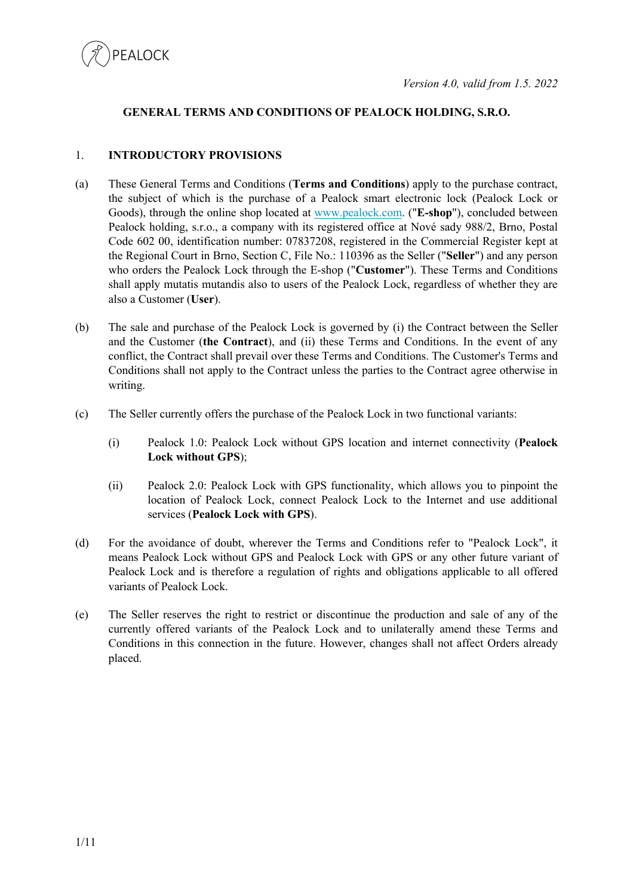

## **GENERAL TERMS AND CONDITIONS OF PEALOCK HOLDING, S.R.O.**

#### 1. **INTRODUCTORY PROVISIONS**

- (a) These General Terms and Conditions (**Terms and Conditions**) apply to the purchase contract, the subject of which is the purchase of a Pealock smart electronic lock (Pealock Lock or Goods), through the online shop located at www.pealock.com. ("**E-shop**"), concluded between Pealock holding, s.r.o., a company with its registered office at Nové sady 988/2, Brno, Postal Code 602 00, identification number: 07837208, registered in the Commercial Register kept at the Regional Court in Brno, Section C, File No.: 110396 as the Seller ("**Seller**") and any person who orders the Pealock Lock through the E-shop ("**Customer**"). These Terms and Conditions shall apply mutatis mutandis also to users of the Pealock Lock, regardless of whether they are also a Customer (**User**).
- (b) The sale and purchase of the Pealock Lock is governed by (i) the Contract between the Seller and the Customer (**the Contract**), and (ii) these Terms and Conditions. In the event of any conflict, the Contract shall prevail over these Terms and Conditions. The Customer's Terms and Conditions shall not apply to the Contract unless the parties to the Contract agree otherwise in writing.
- (c) The Seller currently offers the purchase of the Pealock Lock in two functional variants:
	- (i) Pealock 1.0: Pealock Lock without GPS location and internet connectivity (**Pealock Lock without GPS**);
	- (ii) Pealock 2.0: Pealock Lock with GPS functionality, which allows you to pinpoint the location of Pealock Lock, connect Pealock Lock to the Internet and use additional services (**Pealock Lock with GPS**).
- (d) For the avoidance of doubt, wherever the Terms and Conditions refer to "Pealock Lock", it means Pealock Lock without GPS and Pealock Lock with GPS or any other future variant of Pealock Lock and is therefore a regulation of rights and obligations applicable to all offered variants of Pealock Lock.
- (e) The Seller reserves the right to restrict or discontinue the production and sale of any of the currently offered variants of the Pealock Lock and to unilaterally amend these Terms and Conditions in this connection in the future. However, changes shall not affect Orders already placed.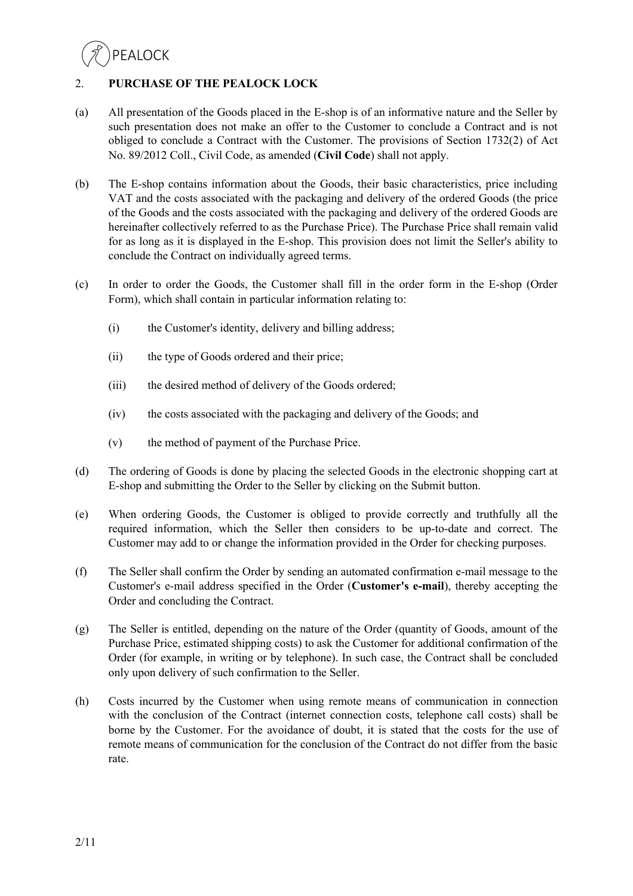## 2. **PURCHASE OF THE PEALOCK LOCK**

- (a) All presentation of the Goods placed in the E-shop is of an informative nature and the Seller by such presentation does not make an offer to the Customer to conclude a Contract and is not obliged to conclude a Contract with the Customer. The provisions of Section 1732(2) of Act No. 89/2012 Coll., Civil Code, as amended (**Civil Code**) shall not apply.
- (b) The E-shop contains information about the Goods, their basic characteristics, price including VAT and the costs associated with the packaging and delivery of the ordered Goods (the price of the Goods and the costs associated with the packaging and delivery of the ordered Goods are hereinafter collectively referred to as the Purchase Price). The Purchase Price shall remain valid for as long as it is displayed in the E-shop. This provision does not limit the Seller's ability to conclude the Contract on individually agreed terms.
- (c) In order to order the Goods, the Customer shall fill in the order form in the E-shop (Order Form), which shall contain in particular information relating to:
	- (i) the Customer's identity, delivery and billing address;
	- (ii) the type of Goods ordered and their price;
	- (iii) the desired method of delivery of the Goods ordered;
	- (iv) the costs associated with the packaging and delivery of the Goods; and
	- (v) the method of payment of the Purchase Price.
- (d) The ordering of Goods is done by placing the selected Goods in the electronic shopping cart at E-shop and submitting the Order to the Seller by clicking on the Submit button.
- (e) When ordering Goods, the Customer is obliged to provide correctly and truthfully all the required information, which the Seller then considers to be up-to-date and correct. The Customer may add to or change the information provided in the Order for checking purposes.
- (f) The Seller shall confirm the Order by sending an automated confirmation e-mail message to the Customer's e-mail address specified in the Order (**Customer's e-mail**), thereby accepting the Order and concluding the Contract.
- (g) The Seller is entitled, depending on the nature of the Order (quantity of Goods, amount of the Purchase Price, estimated shipping costs) to ask the Customer for additional confirmation of the Order (for example, in writing or by telephone). In such case, the Contract shall be concluded only upon delivery of such confirmation to the Seller.
- (h) Costs incurred by the Customer when using remote means of communication in connection with the conclusion of the Contract (internet connection costs, telephone call costs) shall be borne by the Customer. For the avoidance of doubt, it is stated that the costs for the use of remote means of communication for the conclusion of the Contract do not differ from the basic rate.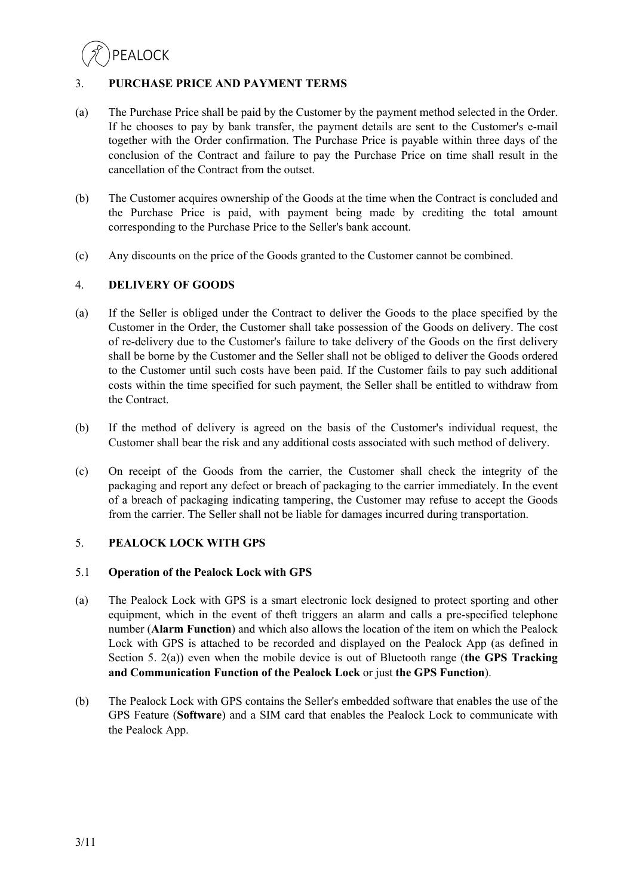## 3. **PURCHASE PRICE AND PAYMENT TERMS**

- (a) The Purchase Price shall be paid by the Customer by the payment method selected in the Order. If he chooses to pay by bank transfer, the payment details are sent to the Customer's e-mail together with the Order confirmation. The Purchase Price is payable within three days of the conclusion of the Contract and failure to pay the Purchase Price on time shall result in the cancellation of the Contract from the outset.
- (b) The Customer acquires ownership of the Goods at the time when the Contract is concluded and the Purchase Price is paid, with payment being made by crediting the total amount corresponding to the Purchase Price to the Seller's bank account.
- (c) Any discounts on the price of the Goods granted to the Customer cannot be combined.

### 4. **DELIVERY OF GOODS**

- (a) If the Seller is obliged under the Contract to deliver the Goods to the place specified by the Customer in the Order, the Customer shall take possession of the Goods on delivery. The cost of re-delivery due to the Customer's failure to take delivery of the Goods on the first delivery shall be borne by the Customer and the Seller shall not be obliged to deliver the Goods ordered to the Customer until such costs have been paid. If the Customer fails to pay such additional costs within the time specified for such payment, the Seller shall be entitled to withdraw from the Contract.
- (b) If the method of delivery is agreed on the basis of the Customer's individual request, the Customer shall bear the risk and any additional costs associated with such method of delivery.
- (c) On receipt of the Goods from the carrier, the Customer shall check the integrity of the packaging and report any defect or breach of packaging to the carrier immediately. In the event of a breach of packaging indicating tampering, the Customer may refuse to accept the Goods from the carrier. The Seller shall not be liable for damages incurred during transportation.

## 5. **PEALOCK LOCK WITH GPS**

#### 5.1 **Operation of the Pealock Lock with GPS**

- (a) The Pealock Lock with GPS is a smart electronic lock designed to protect sporting and other equipment, which in the event of theft triggers an alarm and calls a pre-specified telephone number (**Alarm Function**) and which also allows the location of the item on which the Pealock Lock with GPS is attached to be recorded and displayed on the Pealock App (as defined in Section 5. 2(a)) even when the mobile device is out of Bluetooth range (**the GPS Tracking and Communication Function of the Pealock Lock** or just **the GPS Function**).
- (b) The Pealock Lock with GPS contains the Seller's embedded software that enables the use of the GPS Feature (**Software**) and a SIM card that enables the Pealock Lock to communicate with the Pealock App.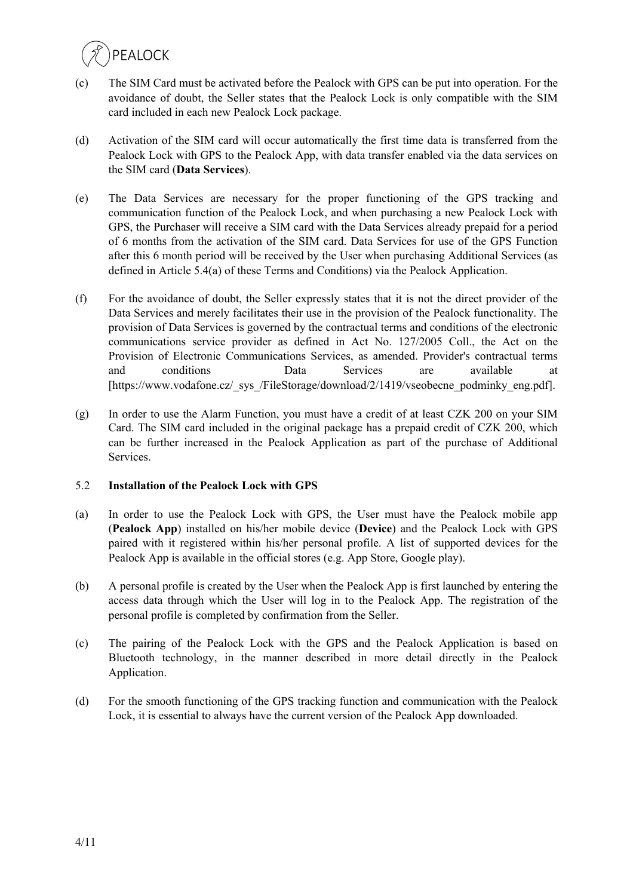

- (c) The SIM Card must be activated before the Pealock with GPS can be put into operation. For the avoidance of doubt, the Seller states that the Pealock Lock is only compatible with the SIM card included in each new Pealock Lock package.
- (d) Activation of the SIM card will occur automatically the first time data is transferred from the Pealock Lock with GPS to the Pealock App, with data transfer enabled via the data services on the SIM card (**Data Services**).
- (e) The Data Services are necessary for the proper functioning of the GPS tracking and communication function of the Pealock Lock, and when purchasing a new Pealock Lock with GPS, the Purchaser will receive a SIM card with the Data Services already prepaid for a period of 6 months from the activation of the SIM card. Data Services for use of the GPS Function after this 6 month period will be received by the User when purchasing Additional Services (as defined in Article 5.4(a) of these Terms and Conditions) via the Pealock Application.
- (f) For the avoidance of doubt, the Seller expressly states that it is not the direct provider of the Data Services and merely facilitates their use in the provision of the Pealock functionality. The provision of Data Services is governed by the contractual terms and conditions of the electronic communications service provider as defined in Act No. 127/2005 Coll., the Act on the Provision of Electronic Communications Services, as amended. Provider's contractual terms and conditions Data Services are available at [https://www.vodafone.cz/\_sys\_/FileStorage/download/2/1419/vseobecne\_podminky\_eng.pdf].
- (g) In order to use the Alarm Function, you must have a credit of at least CZK 200 on your SIM Card. The SIM card included in the original package has a prepaid credit of CZK 200, which can be further increased in the Pealock Application as part of the purchase of Additional Services.

#### 5.2 **Installation of the Pealock Lock with GPS**

- (a) In order to use the Pealock Lock with GPS, the User must have the Pealock mobile app (**Pealock App**) installed on his/her mobile device (**Device**) and the Pealock Lock with GPS paired with it registered within his/her personal profile. A list of supported devices for the Pealock App is available in the official stores (e.g. App Store, Google play).
- (b) A personal profile is created by the User when the Pealock App is first launched by entering the access data through which the User will log in to the Pealock App. The registration of the personal profile is completed by confirmation from the Seller.
- (c) The pairing of the Pealock Lock with the GPS and the Pealock Application is based on Bluetooth technology, in the manner described in more detail directly in the Pealock Application.
- (d) For the smooth functioning of the GPS tracking function and communication with the Pealock Lock, it is essential to always have the current version of the Pealock App downloaded.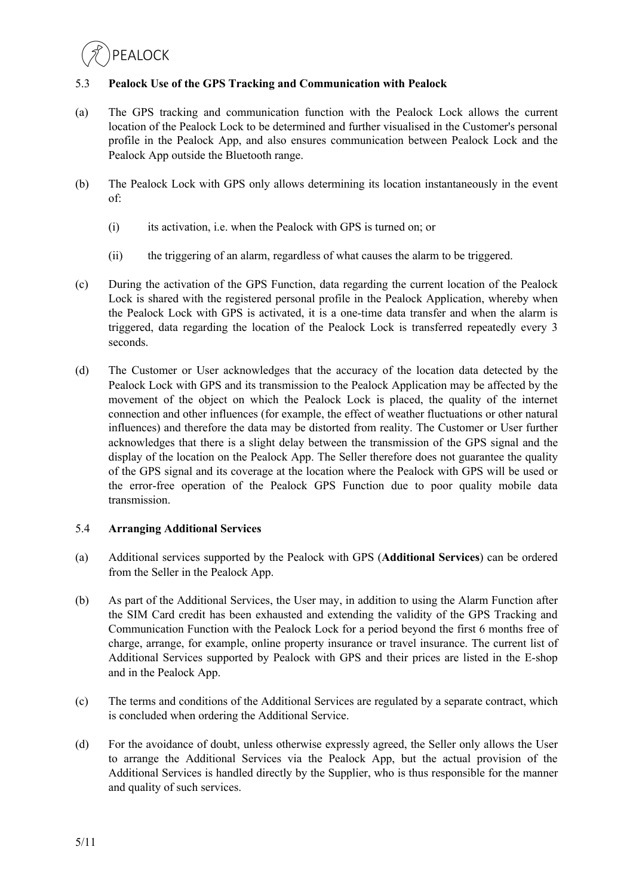## 5.3 **Pealock Use of the GPS Tracking and Communication with Pealock**

- (a) The GPS tracking and communication function with the Pealock Lock allows the current location of the Pealock Lock to be determined and further visualised in the Customer's personal profile in the Pealock App, and also ensures communication between Pealock Lock and the Pealock App outside the Bluetooth range.
- (b) The Pealock Lock with GPS only allows determining its location instantaneously in the event of:
	- (i) its activation, i.e. when the Pealock with GPS is turned on; or
	- (ii) the triggering of an alarm, regardless of what causes the alarm to be triggered.
- (c) During the activation of the GPS Function, data regarding the current location of the Pealock Lock is shared with the registered personal profile in the Pealock Application, whereby when the Pealock Lock with GPS is activated, it is a one-time data transfer and when the alarm is triggered, data regarding the location of the Pealock Lock is transferred repeatedly every 3 seconds.
- (d) The Customer or User acknowledges that the accuracy of the location data detected by the Pealock Lock with GPS and its transmission to the Pealock Application may be affected by the movement of the object on which the Pealock Lock is placed, the quality of the internet connection and other influences (for example, the effect of weather fluctuations or other natural influences) and therefore the data may be distorted from reality. The Customer or User further acknowledges that there is a slight delay between the transmission of the GPS signal and the display of the location on the Pealock App. The Seller therefore does not guarantee the quality of the GPS signal and its coverage at the location where the Pealock with GPS will be used or the error-free operation of the Pealock GPS Function due to poor quality mobile data transmission.

#### 5.4 **Arranging Additional Services**

- (a) Additional services supported by the Pealock with GPS (**Additional Services**) can be ordered from the Seller in the Pealock App.
- (b) As part of the Additional Services, the User may, in addition to using the Alarm Function after the SIM Card credit has been exhausted and extending the validity of the GPS Tracking and Communication Function with the Pealock Lock for a period beyond the first 6 months free of charge, arrange, for example, online property insurance or travel insurance. The current list of Additional Services supported by Pealock with GPS and their prices are listed in the E-shop and in the Pealock App.
- (c) The terms and conditions of the Additional Services are regulated by a separate contract, which is concluded when ordering the Additional Service.
- (d) For the avoidance of doubt, unless otherwise expressly agreed, the Seller only allows the User to arrange the Additional Services via the Pealock App, but the actual provision of the Additional Services is handled directly by the Supplier, who is thus responsible for the manner and quality of such services.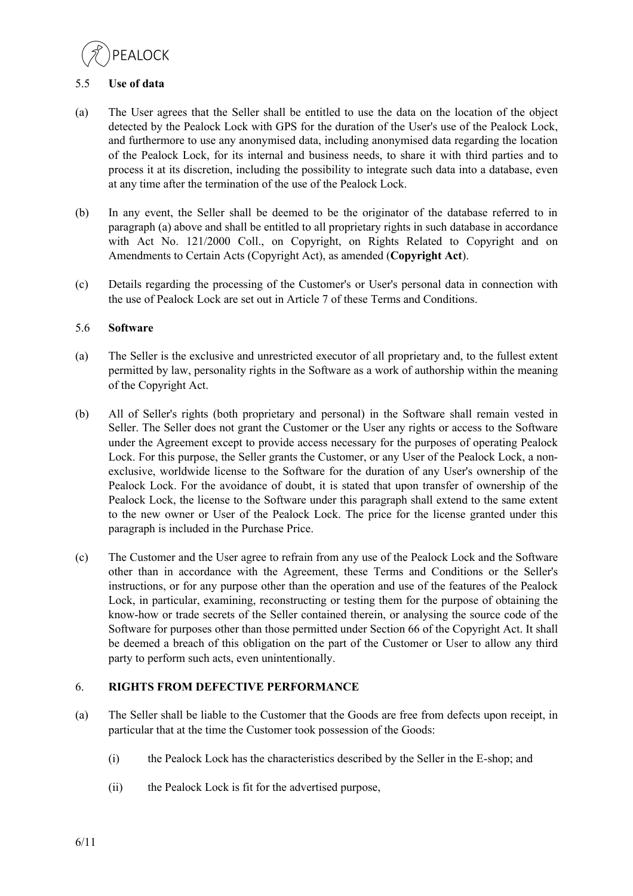**PFAIOCK** 

### 5.5 **Use of data**

- (a) The User agrees that the Seller shall be entitled to use the data on the location of the object detected by the Pealock Lock with GPS for the duration of the User's use of the Pealock Lock, and furthermore to use any anonymised data, including anonymised data regarding the location of the Pealock Lock, for its internal and business needs, to share it with third parties and to process it at its discretion, including the possibility to integrate such data into a database, even at any time after the termination of the use of the Pealock Lock.
- (b) In any event, the Seller shall be deemed to be the originator of the database referred to in paragraph (a) above and shall be entitled to all proprietary rights in such database in accordance with Act No. 121/2000 Coll., on Copyright, on Rights Related to Copyright and on Amendments to Certain Acts (Copyright Act), as amended (**Copyright Act**).
- (c) Details regarding the processing of the Customer's or User's personal data in connection with the use of Pealock Lock are set out in Article 7 of these Terms and Conditions.

### 5.6 **Software**

- (a) The Seller is the exclusive and unrestricted executor of all proprietary and, to the fullest extent permitted by law, personality rights in the Software as a work of authorship within the meaning of the Copyright Act.
- (b) All of Seller's rights (both proprietary and personal) in the Software shall remain vested in Seller. The Seller does not grant the Customer or the User any rights or access to the Software under the Agreement except to provide access necessary for the purposes of operating Pealock Lock. For this purpose, the Seller grants the Customer, or any User of the Pealock Lock, a nonexclusive, worldwide license to the Software for the duration of any User's ownership of the Pealock Lock. For the avoidance of doubt, it is stated that upon transfer of ownership of the Pealock Lock, the license to the Software under this paragraph shall extend to the same extent to the new owner or User of the Pealock Lock. The price for the license granted under this paragraph is included in the Purchase Price.
- (c) The Customer and the User agree to refrain from any use of the Pealock Lock and the Software other than in accordance with the Agreement, these Terms and Conditions or the Seller's instructions, or for any purpose other than the operation and use of the features of the Pealock Lock, in particular, examining, reconstructing or testing them for the purpose of obtaining the know-how or trade secrets of the Seller contained therein, or analysing the source code of the Software for purposes other than those permitted under Section 66 of the Copyright Act. It shall be deemed a breach of this obligation on the part of the Customer or User to allow any third party to perform such acts, even unintentionally.

## 6. **RIGHTS FROM DEFECTIVE PERFORMANCE**

- (a) The Seller shall be liable to the Customer that the Goods are free from defects upon receipt, in particular that at the time the Customer took possession of the Goods:
	- (i) the Pealock Lock has the characteristics described by the Seller in the E-shop; and
	- (ii) the Pealock Lock is fit for the advertised purpose,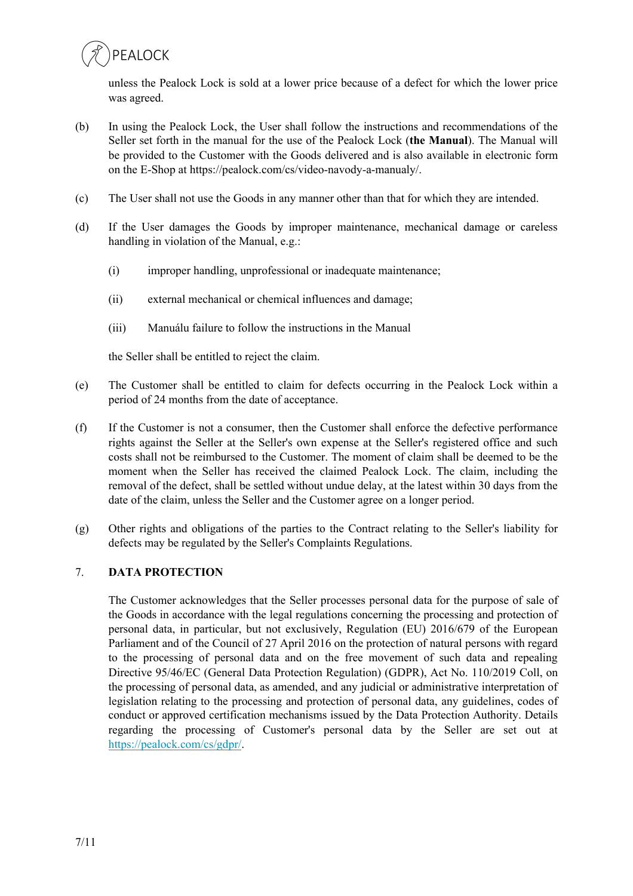

unless the Pealock Lock is sold at a lower price because of a defect for which the lower price was agreed.

- (b) In using the Pealock Lock, the User shall follow the instructions and recommendations of the Seller set forth in the manual for the use of the Pealock Lock (**the Manual**). The Manual will be provided to the Customer with the Goods delivered and is also available in electronic form on the E-Shop at https://pealock.com/cs/video-navody-a-manualy/.
- (c) The User shall not use the Goods in any manner other than that for which they are intended.
- (d) If the User damages the Goods by improper maintenance, mechanical damage or careless handling in violation of the Manual, e.g.:
	- (i) improper handling, unprofessional or inadequate maintenance;
	- (ii) external mechanical or chemical influences and damage;
	- (iii) Manuálu failure to follow the instructions in the Manual

the Seller shall be entitled to reject the claim.

- (e) The Customer shall be entitled to claim for defects occurring in the Pealock Lock within a period of 24 months from the date of acceptance.
- (f) If the Customer is not a consumer, then the Customer shall enforce the defective performance rights against the Seller at the Seller's own expense at the Seller's registered office and such costs shall not be reimbursed to the Customer. The moment of claim shall be deemed to be the moment when the Seller has received the claimed Pealock Lock. The claim, including the removal of the defect, shall be settled without undue delay, at the latest within 30 days from the date of the claim, unless the Seller and the Customer agree on a longer period.
- (g) Other rights and obligations of the parties to the Contract relating to the Seller's liability for defects may be regulated by the Seller's Complaints Regulations.

## 7. **DATA PROTECTION**

The Customer acknowledges that the Seller processes personal data for the purpose of sale of the Goods in accordance with the legal regulations concerning the processing and protection of personal data, in particular, but not exclusively, Regulation (EU) 2016/679 of the European Parliament and of the Council of 27 April 2016 on the protection of natural persons with regard to the processing of personal data and on the free movement of such data and repealing Directive 95/46/EC (General Data Protection Regulation) (GDPR), Act No. 110/2019 Coll, on the processing of personal data, as amended, and any judicial or administrative interpretation of legislation relating to the processing and protection of personal data, any guidelines, codes of conduct or approved certification mechanisms issued by the Data Protection Authority. Details regarding the processing of Customer's personal data by the Seller are set out at https://pealock.com/cs/gdpr/.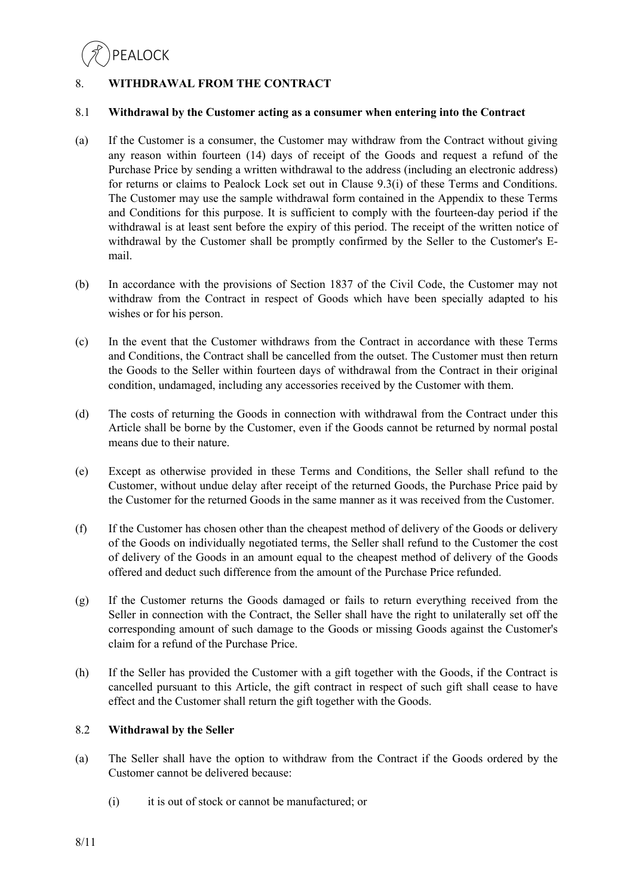## 8. **WITHDRAWAL FROM THE CONTRACT**

#### 8.1 **Withdrawal by the Customer acting as a consumer when entering into the Contract**

- (a) If the Customer is a consumer, the Customer may withdraw from the Contract without giving any reason within fourteen (14) days of receipt of the Goods and request a refund of the Purchase Price by sending a written withdrawal to the address (including an electronic address) for returns or claims to Pealock Lock set out in Clause 9.3(i) of these Terms and Conditions. The Customer may use the sample withdrawal form contained in the Appendix to these Terms and Conditions for this purpose. It is sufficient to comply with the fourteen-day period if the withdrawal is at least sent before the expiry of this period. The receipt of the written notice of withdrawal by the Customer shall be promptly confirmed by the Seller to the Customer's Email.
- (b) In accordance with the provisions of Section 1837 of the Civil Code, the Customer may not withdraw from the Contract in respect of Goods which have been specially adapted to his wishes or for his person.
- (c) In the event that the Customer withdraws from the Contract in accordance with these Terms and Conditions, the Contract shall be cancelled from the outset. The Customer must then return the Goods to the Seller within fourteen days of withdrawal from the Contract in their original condition, undamaged, including any accessories received by the Customer with them.
- (d) The costs of returning the Goods in connection with withdrawal from the Contract under this Article shall be borne by the Customer, even if the Goods cannot be returned by normal postal means due to their nature.
- (e) Except as otherwise provided in these Terms and Conditions, the Seller shall refund to the Customer, without undue delay after receipt of the returned Goods, the Purchase Price paid by the Customer for the returned Goods in the same manner as it was received from the Customer.
- (f) If the Customer has chosen other than the cheapest method of delivery of the Goods or delivery of the Goods on individually negotiated terms, the Seller shall refund to the Customer the cost of delivery of the Goods in an amount equal to the cheapest method of delivery of the Goods offered and deduct such difference from the amount of the Purchase Price refunded.
- (g) If the Customer returns the Goods damaged or fails to return everything received from the Seller in connection with the Contract, the Seller shall have the right to unilaterally set off the corresponding amount of such damage to the Goods or missing Goods against the Customer's claim for a refund of the Purchase Price.
- (h) If the Seller has provided the Customer with a gift together with the Goods, if the Contract is cancelled pursuant to this Article, the gift contract in respect of such gift shall cease to have effect and the Customer shall return the gift together with the Goods.

## 8.2 **Withdrawal by the Seller**

- (a) The Seller shall have the option to withdraw from the Contract if the Goods ordered by the Customer cannot be delivered because:
	- (i) it is out of stock or cannot be manufactured; or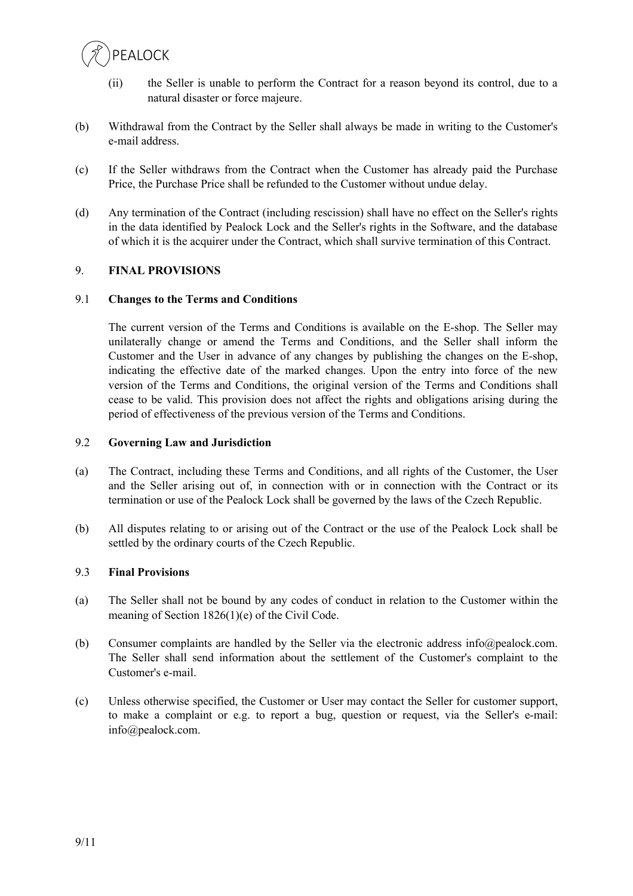

- (ii) the Seller is unable to perform the Contract for a reason beyond its control, due to a natural disaster or force majeure.
- (b) Withdrawal from the Contract by the Seller shall always be made in writing to the Customer's e-mail address.
- (c) If the Seller withdraws from the Contract when the Customer has already paid the Purchase Price, the Purchase Price shall be refunded to the Customer without undue delay.
- (d) Any termination of the Contract (including rescission) shall have no effect on the Seller's rights in the data identified by Pealock Lock and the Seller's rights in the Software, and the database of which it is the acquirer under the Contract, which shall survive termination of this Contract.

#### 9. **FINAL PROVISIONS**

#### 9.1 **Changes to the Terms and Conditions**

The current version of the Terms and Conditions is available on the E-shop. The Seller may unilaterally change or amend the Terms and Conditions, and the Seller shall inform the Customer and the User in advance of any changes by publishing the changes on the E-shop, indicating the effective date of the marked changes. Upon the entry into force of the new version of the Terms and Conditions, the original version of the Terms and Conditions shall cease to be valid. This provision does not affect the rights and obligations arising during the period of effectiveness of the previous version of the Terms and Conditions.

#### 9.2 **Governing Law and Jurisdiction**

- (a) The Contract, including these Terms and Conditions, and all rights of the Customer, the User and the Seller arising out of, in connection with or in connection with the Contract or its termination or use of the Pealock Lock shall be governed by the laws of the Czech Republic.
- (b) All disputes relating to or arising out of the Contract or the use of the Pealock Lock shall be settled by the ordinary courts of the Czech Republic.

#### 9.3 **Final Provisions**

- (a) The Seller shall not be bound by any codes of conduct in relation to the Customer within the meaning of Section 1826(1)(e) of the Civil Code.
- (b) Consumer complaints are handled by the Seller via the electronic address info@pealock.com. The Seller shall send information about the settlement of the Customer's complaint to the Customer's e-mail.
- (c) Unless otherwise specified, the Customer or User may contact the Seller for customer support, to make a complaint or e.g. to report a bug, question or request, via the Seller's e-mail: info@pealock.com.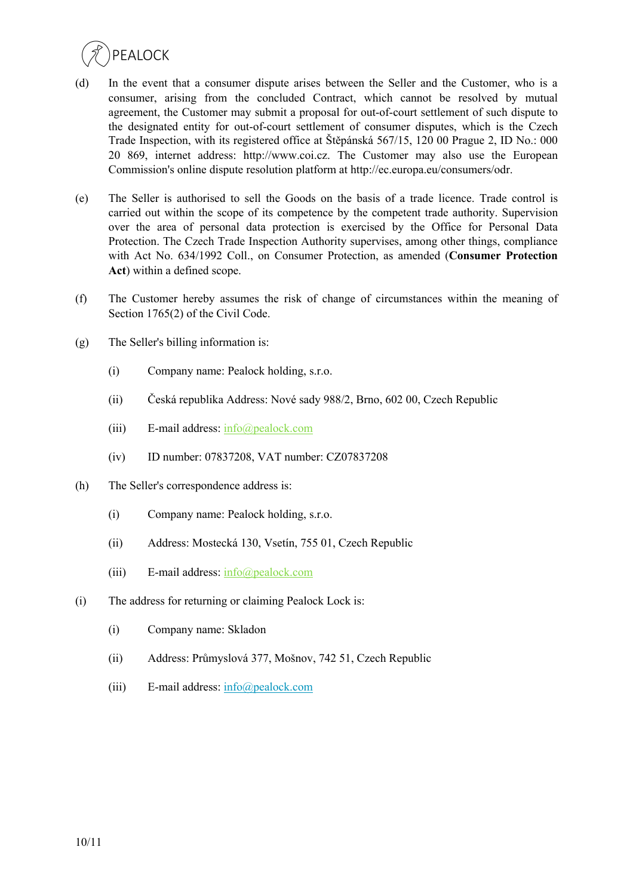

- (d) In the event that a consumer dispute arises between the Seller and the Customer, who is a consumer, arising from the concluded Contract, which cannot be resolved by mutual agreement, the Customer may submit a proposal for out-of-court settlement of such dispute to the designated entity for out-of-court settlement of consumer disputes, which is the Czech Trade Inspection, with its registered office at Štěpánská 567/15, 120 00 Prague 2, ID No.: 000 20 869, internet address: http://www.coi.cz. The Customer may also use the European Commission's online dispute resolution platform at http://ec.europa.eu/consumers/odr.
- (e) The Seller is authorised to sell the Goods on the basis of a trade licence. Trade control is carried out within the scope of its competence by the competent trade authority. Supervision over the area of personal data protection is exercised by the Office for Personal Data Protection. The Czech Trade Inspection Authority supervises, among other things, compliance with Act No. 634/1992 Coll., on Consumer Protection, as amended (**Consumer Protection Act**) within a defined scope.
- (f) The Customer hereby assumes the risk of change of circumstances within the meaning of Section 1765(2) of the Civil Code.
- (g) The Seller's billing information is:
	- (i) Company name: Pealock holding, s.r.o.
	- (ii) Česká republika Address: Nové sady 988/2, Brno, 602 00, Czech Republic
	- (iii) E-mail address:  $info(\omega)$  pealock.com
	- (iv) ID number: 07837208, VAT number: CZ07837208
- (h) The Seller's correspondence address is:
	- (i) Company name: Pealock holding, s.r.o.
	- (ii) Address: Mostecká 130, Vsetín, 755 01, Czech Republic
	- (iii) E-mail address:  $info(\hat{\omega})$  pealock.com
- (i) The address for returning or claiming Pealock Lock is:
	- (i) Company name: Skladon
	- (ii) Address: Průmyslová 377, Mošnov, 742 51, Czech Republic
	- (iii) E-mail address:  $info(\hat{\omega})$  pealock.com